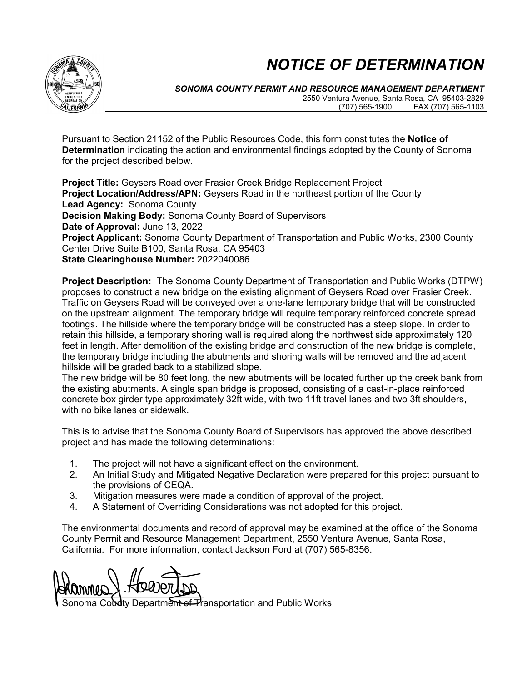## *NOTICE OF DETERMINATION*



*SONOMA COUNTY PERMIT AND RESOURCE MANAGEMENT DEPARTMENT* 2550 Ventura Avenue, Santa Rosa, CA 95403-2829 (707) 565-1900 FAX (707) 565-1103

Pursuant to Section 21152 of the Public Resources Code, this form constitutes the **Notice of Determination** indicating the action and environmental findings adopted by the County of Sonoma for the project described below.

**Project Title:** Geysers Road over Frasier Creek Bridge Replacement Project **Project Location/Address/APN:** Geysers Road in the northeast portion of the County **Lead Agency:** Sonoma County **Decision Making Body:** Sonoma County Board of Supervisors **Date of Approval:** June 13, 2022 **Project Applicant:** Sonoma County Department of Transportation and Public Works, 2300 County Center Drive Suite B100, Santa Rosa, CA 95403 **State Clearinghouse Number:** 2022040086

**Project Description:** The Sonoma County Department of Transportation and Public Works (DTPW) proposes to construct a new bridge on the existing alignment of Geysers Road over Frasier Creek. Traffic on Geysers Road will be conveyed over a one-lane temporary bridge that will be constructed on the upstream alignment. The temporary bridge will require temporary reinforced concrete spread footings. The hillside where the temporary bridge will be constructed has a steep slope. In order to retain this hillside, a temporary shoring wall is required along the northwest side approximately 120 feet in length. After demolition of the existing bridge and construction of the new bridge is complete, the temporary bridge including the abutments and shoring walls will be removed and the adjacent hillside will be graded back to a stabilized slope.

The new bridge will be 80 feet long, the new abutments will be located further up the creek bank from the existing abutments. A single span bridge is proposed, consisting of a cast-in-place reinforced concrete box girder type approximately 32ft wide, with two 11ft travel lanes and two 3ft shoulders, with no bike lanes or sidewalk.

This is to advise that the Sonoma County Board of Supervisors has approved the above described project and has made the following determinations:

- 1. The project will not have a significant effect on the environment.
- 2. An Initial Study and Mitigated Negative Declaration were prepared for this project pursuant to the provisions of CEQA.
- 3. Mitigation measures were made a condition of approval of the project.
- 4. A Statement of Overriding Considerations was not adopted for this project.

The environmental documents and record of approval may be examined at the office of the Sonoma County Permit and Resource Management Department, 2550 Ventura Avenue, Santa Rosa, California. For more information, contact Jackson Ford at (707) 565-8356.

AMINIMAL RUNNING

Department of Transportation and Public Works